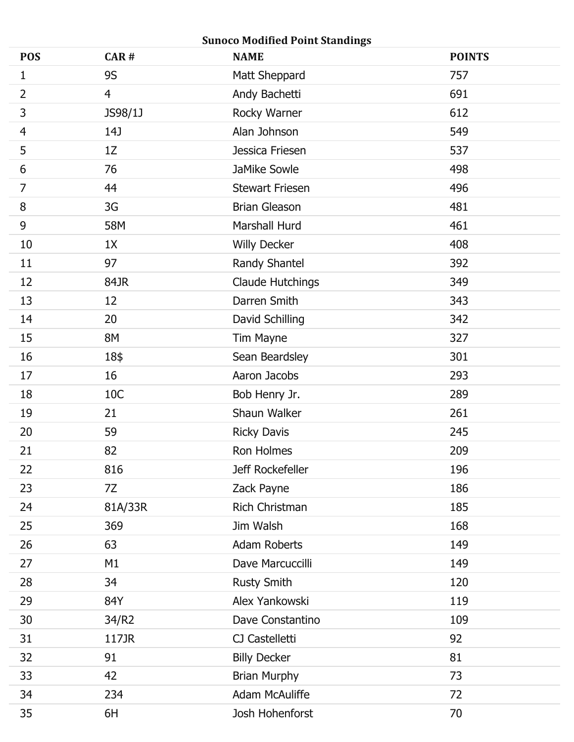| <b>Sunoco Modified Point Standings</b> |                |                         |               |  |
|----------------------------------------|----------------|-------------------------|---------------|--|
| <b>POS</b>                             | CAR#           | <b>NAME</b>             | <b>POINTS</b> |  |
| 1                                      | <b>9S</b>      | Matt Sheppard           | 757           |  |
| $\overline{2}$                         | $\overline{4}$ | Andy Bachetti           | 691           |  |
| $\mathsf{3}$                           | JS98/1J        | Rocky Warner            | 612           |  |
| 4                                      | 14J            | Alan Johnson            | 549           |  |
| 5                                      | 1Z             | Jessica Friesen         | 537           |  |
| 6                                      | 76             | JaMike Sowle            | 498           |  |
| $\overline{7}$                         | 44             | <b>Stewart Friesen</b>  | 496           |  |
| 8                                      | 3G             | <b>Brian Gleason</b>    | 481           |  |
| 9                                      | 58M            | Marshall Hurd           | 461           |  |
| 10                                     | 1X             | <b>Willy Decker</b>     | 408           |  |
| 11                                     | 97             | Randy Shantel           | 392           |  |
| 12                                     | 84JR           | <b>Claude Hutchings</b> | 349           |  |
| 13                                     | 12             | Darren Smith            | 343           |  |
| 14                                     | 20             | David Schilling         | 342           |  |
| 15                                     | 8M             | Tim Mayne               | 327           |  |
| 16                                     | 18\$           | Sean Beardsley          | 301           |  |
| 17                                     | 16             | Aaron Jacobs            | 293           |  |
| 18                                     | 10C            | Bob Henry Jr.           | 289           |  |
| 19                                     | 21             | Shaun Walker            | 261           |  |
| 20                                     | 59             | <b>Ricky Davis</b>      | 245           |  |
| 21                                     | 82             | Ron Holmes              | 209           |  |
| 22                                     | 816            | Jeff Rockefeller        | 196           |  |
| 23                                     | 7Z             | Zack Payne              | 186           |  |
| 24                                     | 81A/33R        | Rich Christman          | 185           |  |
| 25                                     | 369            | Jim Walsh               | 168           |  |
| 26                                     | 63             | Adam Roberts            | 149           |  |
| 27                                     | M1             | Dave Marcuccilli        | 149           |  |
| 28                                     | 34             | <b>Rusty Smith</b>      | 120           |  |
| 29                                     | 84Y            | Alex Yankowski          | 119           |  |
| 30                                     | 34/R2          | Dave Constantino        | 109           |  |
| 31                                     | 117JR          | CJ Castelletti          | 92            |  |
| 32                                     | 91             | <b>Billy Decker</b>     | 81            |  |
| 33                                     | 42             | <b>Brian Murphy</b>     | 73            |  |
| 34                                     | 234            | <b>Adam McAuliffe</b>   | 72            |  |
| 35                                     | 6H             | Josh Hohenforst         | 70            |  |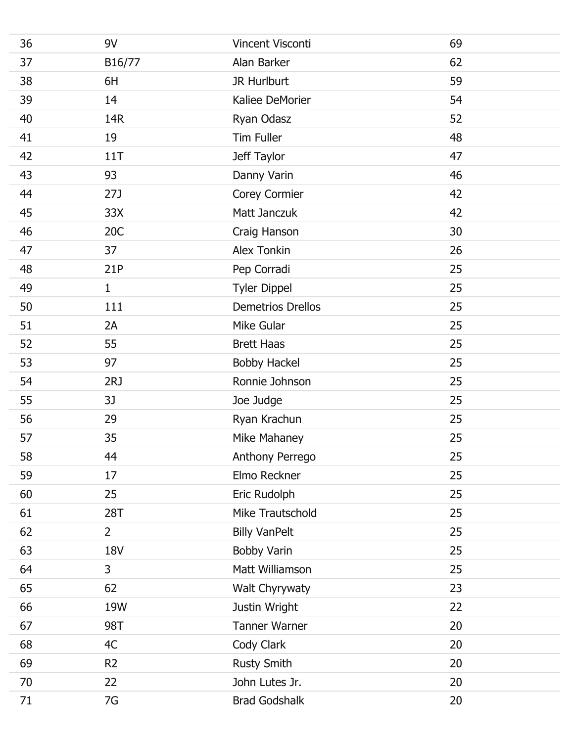| 36 | 9V             | Vincent Visconti         | 69 |
|----|----------------|--------------------------|----|
| 37 | B16/77         | Alan Barker              | 62 |
| 38 | 6H             | JR Hurlburt              | 59 |
| 39 | 14             | Kaliee DeMorier          | 54 |
| 40 | 14R            | Ryan Odasz               | 52 |
| 41 | 19             | <b>Tim Fuller</b>        | 48 |
| 42 | 11T            | Jeff Taylor              | 47 |
| 43 | 93             | Danny Varin              | 46 |
| 44 | 27J            | Corey Cormier            | 42 |
| 45 | 33X            | Matt Janczuk             | 42 |
| 46 | 20C            | Craig Hanson             | 30 |
| 47 | 37             | <b>Alex Tonkin</b>       | 26 |
| 48 | 21P            | Pep Corradi              | 25 |
| 49 | $\mathbf{1}$   | <b>Tyler Dippel</b>      | 25 |
| 50 | 111            | <b>Demetrios Drellos</b> | 25 |
| 51 | 2A             | Mike Gular               | 25 |
| 52 | 55             | <b>Brett Haas</b>        | 25 |
| 53 | 97             | <b>Bobby Hackel</b>      | 25 |
| 54 | 2RJ            | Ronnie Johnson           | 25 |
| 55 | 3J             | Joe Judge                | 25 |
| 56 | 29             | Ryan Krachun             | 25 |
| 57 | 35             | Mike Mahaney             | 25 |
| 58 | 44             | Anthony Perrego          | 25 |
| 59 | 17             | Elmo Reckner             | 25 |
| 60 | 25             | Eric Rudolph             | 25 |
| 61 | 28T            | Mike Trautschold         | 25 |
| 62 | $2^{\circ}$    | <b>Billy VanPelt</b>     | 25 |
| 63 | <b>18V</b>     | <b>Bobby Varin</b>       | 25 |
| 64 | $\overline{3}$ | Matt Williamson          | 25 |
| 65 | 62             | Walt Chyrywaty           | 23 |
| 66 | 19W            | Justin Wright            | 22 |
| 67 | 98T            | <b>Tanner Warner</b>     | 20 |
| 68 | 4C             | Cody Clark               | 20 |
| 69 | R <sub>2</sub> | <b>Rusty Smith</b>       | 20 |
| 70 | 22             | John Lutes Jr.           | 20 |
| 71 | 7G             | <b>Brad Godshalk</b>     | 20 |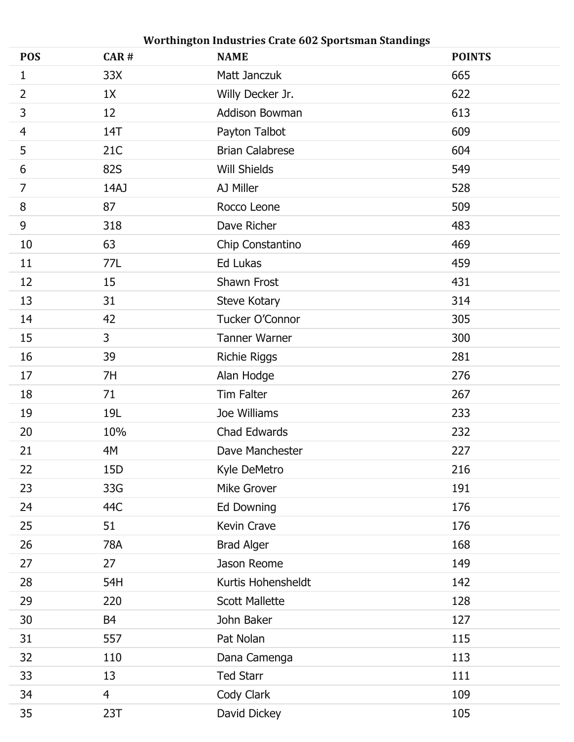| <b>POS</b>     | CAR#           | Worthington Industries Crate 602 Sportsman Standings<br><b>NAME</b> | <b>POINTS</b> |
|----------------|----------------|---------------------------------------------------------------------|---------------|
| 1              | 33X            | Matt Janczuk                                                        | 665           |
| $\overline{2}$ | 1X             | Willy Decker Jr.                                                    | 622           |
| 3              | 12             | Addison Bowman                                                      | 613           |
| $\overline{4}$ | 14T            | Payton Talbot                                                       | 609           |
| 5              | 21C            | <b>Brian Calabrese</b>                                              | 604           |
| 6              | <b>82S</b>     | <b>Will Shields</b>                                                 | 549           |
| $\overline{7}$ | 14AJ           | AJ Miller                                                           | 528           |
| 8              | 87             | Rocco Leone                                                         | 509           |
| $9\,$          | 318            | Dave Richer                                                         | 483           |
| 10             | 63             | Chip Constantino                                                    | 469           |
| 11             | 77L            | Ed Lukas                                                            | 459           |
| 12             | 15             | Shawn Frost                                                         | 431           |
| 13             | 31             | Steve Kotary                                                        | 314           |
| 14             | 42             | Tucker O'Connor                                                     | 305           |
| 15             | 3              | <b>Tanner Warner</b>                                                | 300           |
| 16             | 39             | <b>Richie Riggs</b>                                                 | 281           |
| 17             | 7H             | Alan Hodge                                                          | 276           |
| 18             | 71             | Tim Falter                                                          | 267           |
| 19             | 19L            | Joe Williams                                                        | 233           |
| 20             | 10%            | Chad Edwards                                                        | 232           |
| 21             | 4M             | Dave Manchester                                                     | 227           |
| 22             | 15D            | Kyle DeMetro                                                        | 216           |
| 23             | 33G            | Mike Grover                                                         | 191           |
| 24             | 44C            | Ed Downing                                                          | 176           |
| 25             | 51             | Kevin Crave                                                         | 176           |
| 26             | 78A            | <b>Brad Alger</b>                                                   | 168           |
| 27             | 27             | Jason Reome                                                         | 149           |
| 28             | 54H            | Kurtis Hohensheldt                                                  | 142           |
| 29             | 220            | <b>Scott Mallette</b>                                               | 128           |
| 30             | <b>B4</b>      | John Baker                                                          | 127           |
| 31             | 557            | Pat Nolan                                                           | 115           |
| 32             | 110            | Dana Camenga                                                        | 113           |
| 33             | 13             | <b>Ted Starr</b>                                                    | 111           |
| 34             | $\overline{4}$ | Cody Clark                                                          | 109           |
| 35             | 23T            | David Dickey                                                        | 105           |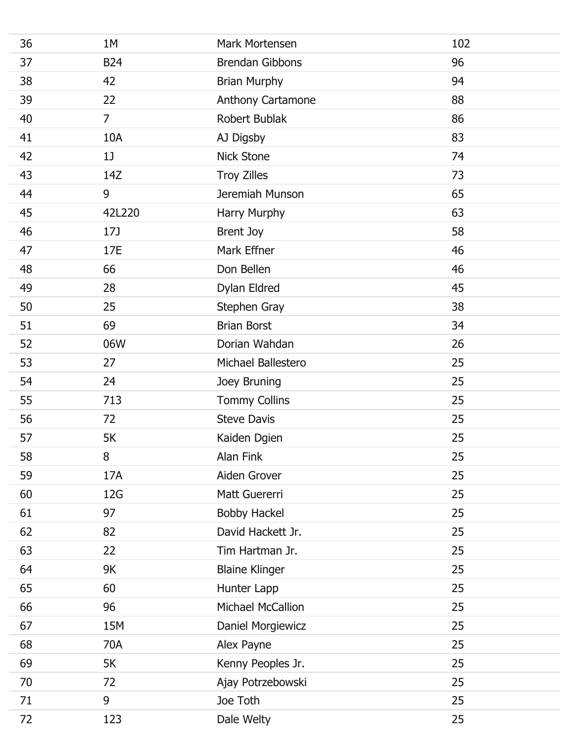| 36 | 1M             | Mark Mortensen         | 102 |
|----|----------------|------------------------|-----|
| 37 | <b>B24</b>     | <b>Brendan Gibbons</b> | 96  |
| 38 | 42             | <b>Brian Murphy</b>    | 94  |
| 39 | 22             | Anthony Cartamone      | 88  |
| 40 | $\overline{7}$ | Robert Bublak          | 86  |
| 41 | 10A            | AJ Digsby              | 83  |
| 42 | 1              | <b>Nick Stone</b>      | 74  |
| 43 | 14Z            | <b>Troy Zilles</b>     | 73  |
| 44 | 9              | Jeremiah Munson        | 65  |
| 45 | 42L220         | Harry Murphy           | 63  |
| 46 | 17J            | Brent Joy              | 58  |
| 47 | 17E            | Mark Effner            | 46  |
| 48 | 66             | Don Bellen             | 46  |
| 49 | 28             | Dylan Eldred           | 45  |
| 50 | 25             | Stephen Gray           | 38  |
| 51 | 69             | <b>Brian Borst</b>     | 34  |
| 52 | 06W            | Dorian Wahdan          | 26  |
| 53 | 27             | Michael Ballestero     | 25  |
| 54 | 24             | Joey Bruning           | 25  |
| 55 | 713            | <b>Tommy Collins</b>   | 25  |
| 56 | 72             | <b>Steve Davis</b>     | 25  |
| 57 | 5K             | Kaiden Dgien           | 25  |
| 58 | 8              | Alan Fink              | 25  |
| 59 | 17A            | Aiden Grover           | 25  |
| 60 | 12G            | Matt Guererri          | 25  |
| 61 | 97             | <b>Bobby Hackel</b>    | 25  |
| 62 | 82             | David Hackett Jr.      | 25  |
| 63 | 22             | Tim Hartman Jr.        | 25  |
| 64 | 9K             | <b>Blaine Klinger</b>  | 25  |
| 65 | 60             | Hunter Lapp            | 25  |
| 66 | 96             | Michael McCallion      | 25  |
| 67 | 15M            | Daniel Morgiewicz      | 25  |
| 68 | 70A            | Alex Payne             | 25  |
| 69 | 5K             | Kenny Peoples Jr.      | 25  |
| 70 | 72             | Ajay Potrzebowski      | 25  |
| 71 | 9              | Joe Toth               | 25  |
| 72 | 123            | Dale Welty             | 25  |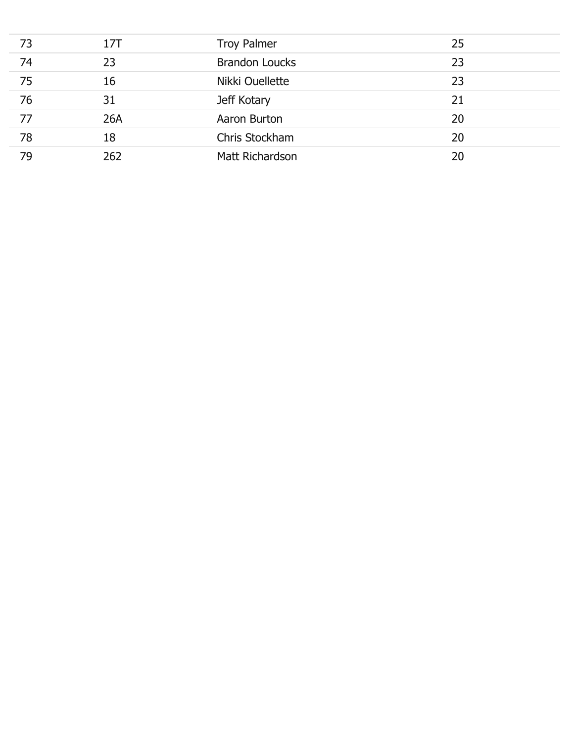| 73 | 17T | <b>Troy Palmer</b>    | 25 |
|----|-----|-----------------------|----|
| 74 | 23  | <b>Brandon Loucks</b> | 23 |
| 75 | 16  | Nikki Ouellette       | 23 |
| 76 | 31  | Jeff Kotary           | 21 |
| 77 | 26A | Aaron Burton          | 20 |
| 78 | 18  | Chris Stockham        | 20 |
| 79 | 262 | Matt Richardson       | 20 |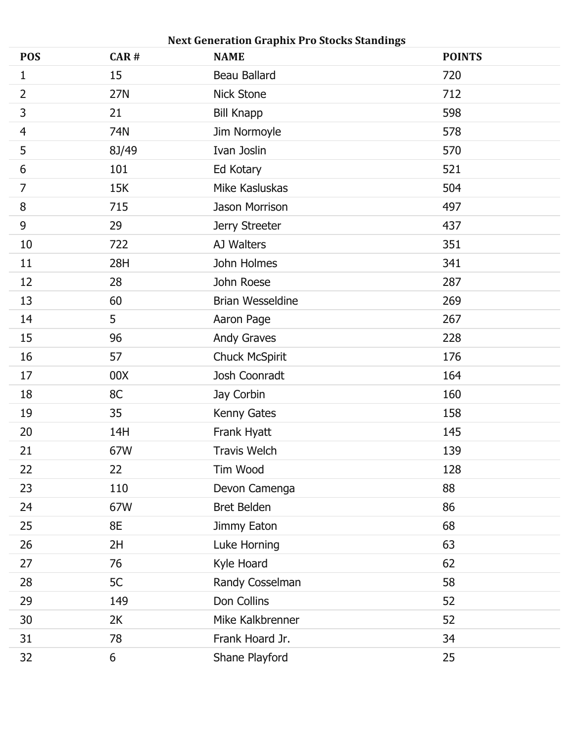| <b>POS</b>     | CAR#  | <b>Next Generation Graphix Pro Stocks Standings</b><br><b>NAME</b> | <b>POINTS</b> |
|----------------|-------|--------------------------------------------------------------------|---------------|
| $\mathbf{1}$   | 15    | <b>Beau Ballard</b>                                                | 720           |
| $\overline{2}$ | 27N   | Nick Stone                                                         | 712           |
| $\mathsf{3}$   | 21    | <b>Bill Knapp</b>                                                  | 598           |
| $\overline{4}$ | 74N   | Jim Normoyle                                                       | 578           |
| 5              | 8J/49 | Ivan Joslin                                                        | 570           |
| 6              | 101   | Ed Kotary                                                          | 521           |
| $\overline{7}$ | 15K   | Mike Kasluskas                                                     | 504           |
| $\, 8$         | 715   | Jason Morrison                                                     | 497           |
| $\mathsf 9$    | 29    | Jerry Streeter                                                     | 437           |
| 10             | 722   | AJ Walters                                                         | 351           |
| 11             | 28H   | John Holmes                                                        | 341           |
| 12             | 28    | John Roese                                                         | 287           |
| 13             | 60    | <b>Brian Wesseldine</b>                                            | 269           |
| 14             | 5     | Aaron Page                                                         | 267           |
| 15             | 96    | <b>Andy Graves</b>                                                 | 228           |
| 16             | 57    | <b>Chuck McSpirit</b>                                              | 176           |
| 17             | 00X   | Josh Coonradt                                                      | 164           |
| 18             | 8C    | Jay Corbin                                                         | 160           |
| 19             | 35    | Kenny Gates                                                        | 158           |
| 20             | 14H   | Frank Hyatt                                                        | 145           |
| 21             | 67W   | <b>Travis Welch</b>                                                | 139           |
| 22             | 22    | Tim Wood                                                           | 128           |
| 23             | 110   | Devon Camenga                                                      | 88            |
| 24             | 67W   | <b>Bret Belden</b>                                                 | 86            |
| 25             | 8E    | Jimmy Eaton                                                        | 68            |
| 26             | 2H    | Luke Horning                                                       | 63            |
| 27             | 76    | Kyle Hoard                                                         | 62            |
| 28             | 5C    | Randy Cosselman                                                    | 58            |
| 29             | 149   | Don Collins                                                        | 52            |
| 30             | 2K    | Mike Kalkbrenner                                                   | 52            |
| 31             | 78    | Frank Hoard Jr.                                                    | 34            |
| 32             | 6     | Shane Playford                                                     | 25            |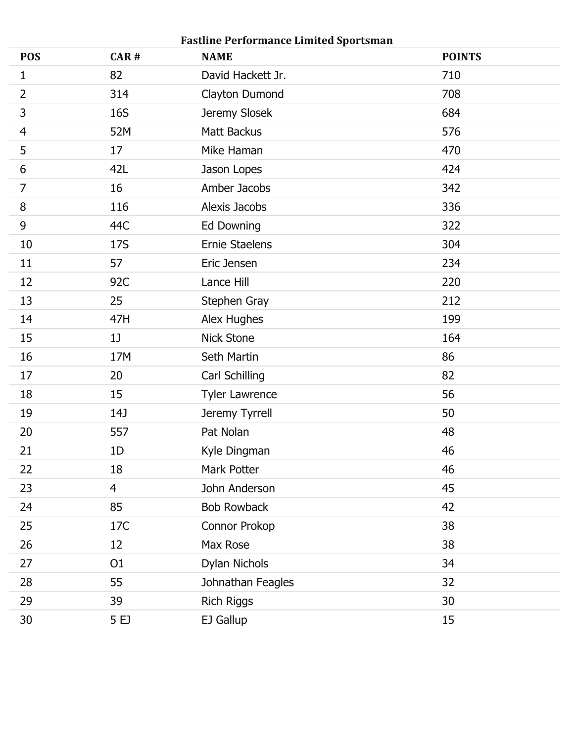| <b>POS</b>     | CAR#           | <b>Fastline Performance Limited Sportsman</b><br><b>NAME</b> | <b>POINTS</b> |
|----------------|----------------|--------------------------------------------------------------|---------------|
| 1              | 82             | David Hackett Jr.                                            | 710           |
| $\overline{2}$ | 314            | Clayton Dumond                                               | 708           |
| 3              | <b>16S</b>     | Jeremy Slosek                                                | 684           |
| $\overline{4}$ | 52M            | Matt Backus                                                  | 576           |
| 5              | 17             | Mike Haman                                                   | 470           |
| $6\,$          | 42L            | Jason Lopes                                                  | 424           |
| $\overline{7}$ | 16             | Amber Jacobs                                                 | 342           |
| 8              | 116            | Alexis Jacobs                                                | 336           |
| $9\,$          | 44C            | Ed Downing                                                   | 322           |
| 10             | 17S            | <b>Ernie Staelens</b>                                        | 304           |
| 11             | 57             | Eric Jensen                                                  | 234           |
| 12             | 92C            | Lance Hill                                                   | 220           |
| 13             | 25             | Stephen Gray                                                 | 212           |
| 14             | 47H            | Alex Hughes                                                  | 199           |
| 15             | 1              | <b>Nick Stone</b>                                            | 164           |
| 16             | 17M            | Seth Martin                                                  | 86            |
| 17             | 20             | Carl Schilling                                               | 82            |
| 18             | 15             | <b>Tyler Lawrence</b>                                        | 56            |
| 19             | 14J            | Jeremy Tyrrell                                               | 50            |
| 20             | 557            | Pat Nolan                                                    | 48            |
| 21             | 1D             | Kyle Dingman                                                 | 46            |
| 22             | 18             | Mark Potter                                                  | 46            |
| 23             | $\overline{4}$ | John Anderson                                                | 45            |
| 24             | 85             | Bob Rowback                                                  | 42            |
| 25             | 17C            | Connor Prokop                                                | 38            |
| 26             | 12             | Max Rose                                                     | 38            |
| 27             | O <sub>1</sub> | Dylan Nichols                                                | 34            |
| 28             | 55             | Johnathan Feagles                                            | 32            |
| 29             | 39             | <b>Rich Riggs</b>                                            | 30            |
| 30             | 5 EJ           | EJ Gallup                                                    | 15            |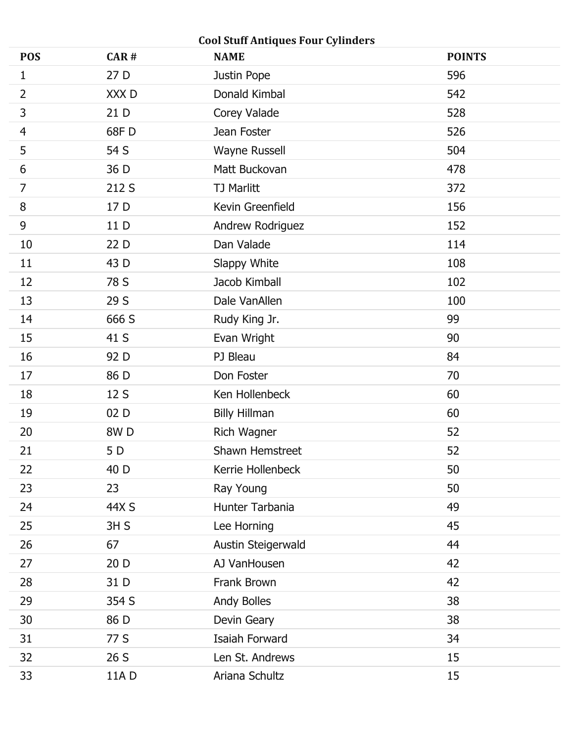|                | <b>Cool Stuff Antiques Four Cylinders</b> |                        |               |  |  |
|----------------|-------------------------------------------|------------------------|---------------|--|--|
| <b>POS</b>     | CAR#                                      | <b>NAME</b>            | <b>POINTS</b> |  |  |
| 1              | 27 D                                      | Justin Pope            | 596           |  |  |
| $\overline{2}$ | XXX <sub>D</sub>                          | Donald Kimbal          | 542           |  |  |
| $\mathsf{3}$   | 21 D                                      | Corey Valade           | 528           |  |  |
| $\overline{4}$ | 68F D                                     | Jean Foster            | 526           |  |  |
| 5              | 54 S                                      | Wayne Russell          | 504           |  |  |
| 6              | 36 D                                      | Matt Buckovan          | 478           |  |  |
| $\overline{7}$ | 212 S                                     | <b>TJ Marlitt</b>      | 372           |  |  |
| $8\,$          | 17 D                                      | Kevin Greenfield       | 156           |  |  |
| $9\,$          | 11 D                                      | Andrew Rodriguez       | 152           |  |  |
| 10             | 22 D                                      | Dan Valade             | 114           |  |  |
| 11             | 43 D                                      | Slappy White           | 108           |  |  |
| 12             | 78 S                                      | Jacob Kimball          | 102           |  |  |
| 13             | 29 S                                      | Dale VanAllen          | 100           |  |  |
| 14             | 666 S                                     | Rudy King Jr.          | 99            |  |  |
| 15             | 41 S                                      | Evan Wright            | 90            |  |  |
| 16             | 92 D                                      | PJ Bleau               | 84            |  |  |
| 17             | 86 D                                      | Don Foster             | 70            |  |  |
| 18             | 12 S                                      | Ken Hollenbeck         | 60            |  |  |
| 19             | 02D                                       | <b>Billy Hillman</b>   | 60            |  |  |
| 20             | 8W <sub>D</sub>                           | Rich Wagner            | 52            |  |  |
| 21             | 5 D                                       | <b>Shawn Hemstreet</b> | 52            |  |  |
| 22             | 40 D                                      | Kerrie Hollenbeck      | 50            |  |  |
| 23             | 23                                        | Ray Young              | 50            |  |  |
| 24             | 44X S                                     | Hunter Tarbania        | 49            |  |  |
| 25             | 3H S                                      | Lee Horning            | 45            |  |  |
| 26             | 67                                        | Austin Steigerwald     | 44            |  |  |
| 27             | 20 D                                      | AJ VanHousen           | 42            |  |  |
| 28             | 31 D                                      | Frank Brown            | 42            |  |  |
| 29             | 354 S                                     | Andy Bolles            | 38            |  |  |
| 30             | 86 D                                      | Devin Geary            | 38            |  |  |
| 31             | 77 S                                      | Isaiah Forward         | 34            |  |  |
| 32             | 26 S                                      | Len St. Andrews        | 15            |  |  |
| 33             | 11A D                                     | Ariana Schultz         | 15            |  |  |